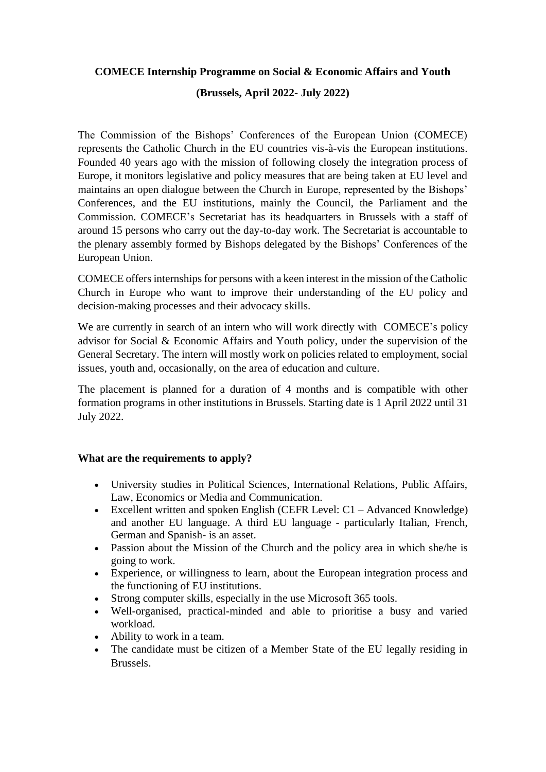#### **COMECE Internship Programme on Social & Economic Affairs and Youth**

### **(Brussels, April 2022- July 2022)**

The Commission of the Bishops' Conferences of the European Union (COMECE) represents the Catholic Church in the EU countries vis-à-vis the European institutions. Founded 40 years ago with the mission of following closely the integration process of Europe, it monitors legislative and policy measures that are being taken at EU level and maintains an open dialogue between the Church in Europe, represented by the Bishops' Conferences, and the EU institutions, mainly the Council, the Parliament and the Commission. COMECE's Secretariat has its headquarters in Brussels with a staff of around 15 persons who carry out the day-to-day work. The Secretariat is accountable to the plenary assembly formed by Bishops delegated by the Bishops' Conferences of the European Union.

COMECE offersinternships for persons with a keen interest in the mission of the Catholic Church in Europe who want to improve their understanding of the EU policy and decision-making processes and their advocacy skills.

We are currently in search of an intern who will work directly with COMECE's policy advisor for Social & Economic Affairs and Youth policy, under the supervision of the General Secretary. The intern will mostly work on policies related to employment, social issues, youth and, occasionally, on the area of education and culture.

The placement is planned for a duration of 4 months and is compatible with other formation programs in other institutions in Brussels. Starting date is 1 April 2022 until 31 July 2022.

#### **What are the requirements to apply?**

- University studies in Political Sciences, International Relations, Public Affairs, Law, Economics or Media and Communication.
- Excellent written and spoken English (CEFR Level:  $C1 -$ Advanced Knowledge) and another EU language. A third EU language - particularly Italian, French, German and Spanish- is an asset.
- Passion about the Mission of the Church and the policy area in which she/he is going to work.
- Experience, or willingness to learn, about the European integration process and the functioning of EU institutions.
- Strong computer skills, especially in the use Microsoft 365 tools.
- Well-organised, practical-minded and able to prioritise a busy and varied workload.
- Ability to work in a team.
- The candidate must be citizen of a Member State of the EU legally residing in Brussels.